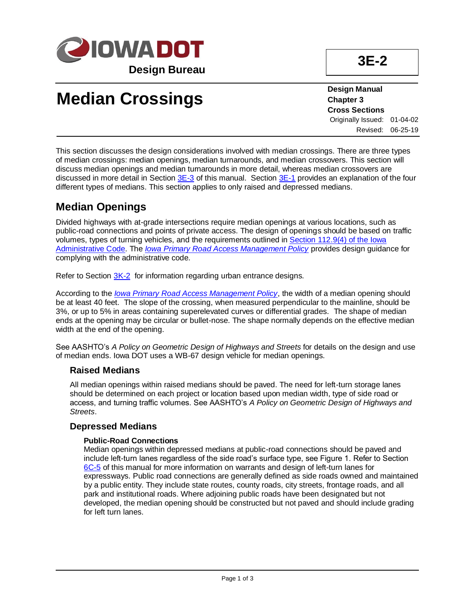

**3E-2**

# **Median Crossings**

**Design Manual Chapter 3 Cross Sections** Originally Issued: 01-04-02 Revised: 06-25-19

This section discusses the design considerations involved with median crossings. There are three types of median crossings: median openings, median turnarounds, and median crossovers. This section will discuss median openings and median turnarounds in more detail, whereas median crossovers are discussed in more detail in Sectio[n 3E-3](03e-03.pdf) of this manual. Section [3E-1](03e-01.pdf) provides an explanation of the four different types of medians. This section applies to only raised and depressed medians.

# **Median Openings**

Divided highways with at-grade intersections require median openings at various locations, such as public-road connections and points of private access. The design of openings should be based on traffic volumes, types of turning vehicles, and the requirements outlined in [Section 112.9\(4\) of the Iowa](https://www.legis.iowa.gov/docs/iac/rule/11-30-2011.761.112.9.pdf)  [Administrative Code.](https://www.legis.iowa.gov/docs/iac/rule/11-30-2011.761.112.9.pdf) The *[Iowa Primary Road Access Management Policy](../../traffic/pdfs/AccessPolicy.pdf)* provides design guidance for complying with the administrative code.

Refer to Section [3K-2](03k-02.pdf) for information regarding urban entrance designs.

According to the *[Iowa Primary Road Access Management Policy](../../traffic/pdfs/AccessPolicy.pdf)*, the width of a median opening should be at least 40 feet. The slope of the crossing, when measured perpendicular to the mainline, should be 3%, or up to 5% in areas containing superelevated curves or differential grades. The shape of median ends at the opening may be circular or bullet-nose. The shape normally depends on the effective median width at the end of the opening.

See AASHTO's *A Policy on Geometric Design of Highways and Streets* for details on the design and use of median ends. Iowa DOT uses a WB-67 design vehicle for median openings.

### **Raised Medians**

All median openings within raised medians should be paved. The need for left-turn storage lanes should be determined on each project or location based upon median width, type of side road or access, and turning traffic volumes. See AASHTO's *A Policy on Geometric Design of Highways and Streets*.

### **Depressed Medians**

#### **Public-Road Connections**

Median openings within depressed medians at public-road connections should be paved and include left-turn lanes regardless of the side road's surface type, see Figure 1. Refer to Section [6C-5](06c-05.pdf) of this manual for more information on warrants and design of left-turn lanes for expressways. Public road connections are generally defined as side roads owned and maintained by a public entity. They include state routes, county roads, city streets, frontage roads, and all park and institutional roads. Where adjoining public roads have been designated but not developed, the median opening should be constructed but not paved and should include grading for left turn lanes.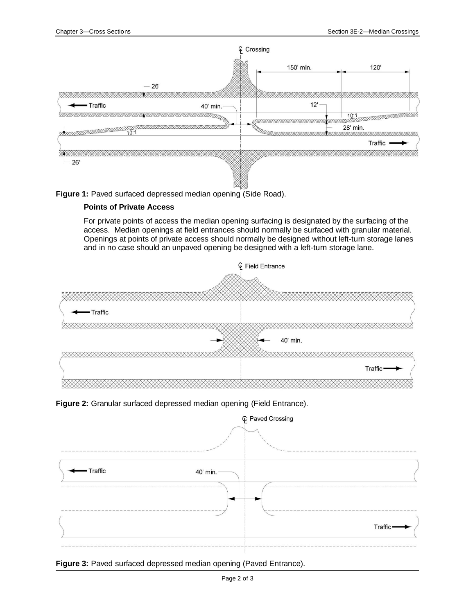

**Figure 1:** Paved surfaced depressed median opening (Side Road).

### **Points of Private Access**

For private points of access the median opening surfacing is designated by the surfacing of the access. Median openings at field entrances should normally be surfaced with granular material. Openings at points of private access should normally be designed without left-turn storage lanes and in no case should an unpaved opening be designed with a left-turn storage lane.



**Figure 2:** Granular surfaced depressed median opening (Field Entrance).



**Figure 3:** Paved surfaced depressed median opening (Paved Entrance).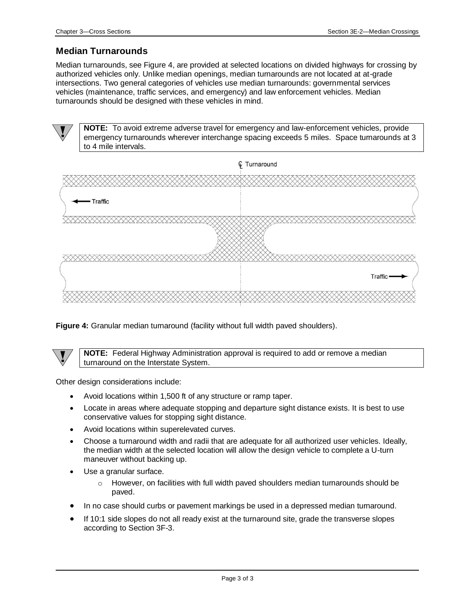## **Median Turnarounds**

Median turnarounds, see Figure 4, are provided at selected locations on divided highways for crossing by authorized vehicles only. Unlike median openings, median turnarounds are not located at at-grade intersections. Two general categories of vehicles use median turnarounds: governmental services vehicles (maintenance, traffic services, and emergency) and law enforcement vehicles. Median turnarounds should be designed with these vehicles in mind.

**NOTE:** To avoid extreme adverse travel for emergency and law-enforcement vehicles, provide emergency turnarounds wherever interchange spacing exceeds 5 miles. Space turnarounds at 3 to 4 mile intervals.



**Figure 4:** Granular median turnaround (facility without full width paved shoulders).

**NOTE:** Federal Highway Administration approval is required to add or remove a median turnaround on the Interstate System.

Other design considerations include:

- Avoid locations within 1,500 ft of any structure or ramp taper.
- Locate in areas where adequate stopping and departure sight distance exists. It is best to use conservative values for stopping sight distance.
- Avoid locations within superelevated curves.
- Choose a turnaround width and radii that are adequate for all authorized user vehicles. Ideally, the median width at the selected location will allow the design vehicle to complete a U-turn maneuver without backing up.
- Use a granular surface.
	- $\circ$  However, on facilities with full width paved shoulders median turnarounds should be paved.
- In no case should curbs or pavement markings be used in a depressed median turnaround.
- If 10:1 side slopes do not all ready exist at the turnaround site, grade the transverse slopes according to Section 3F-3.